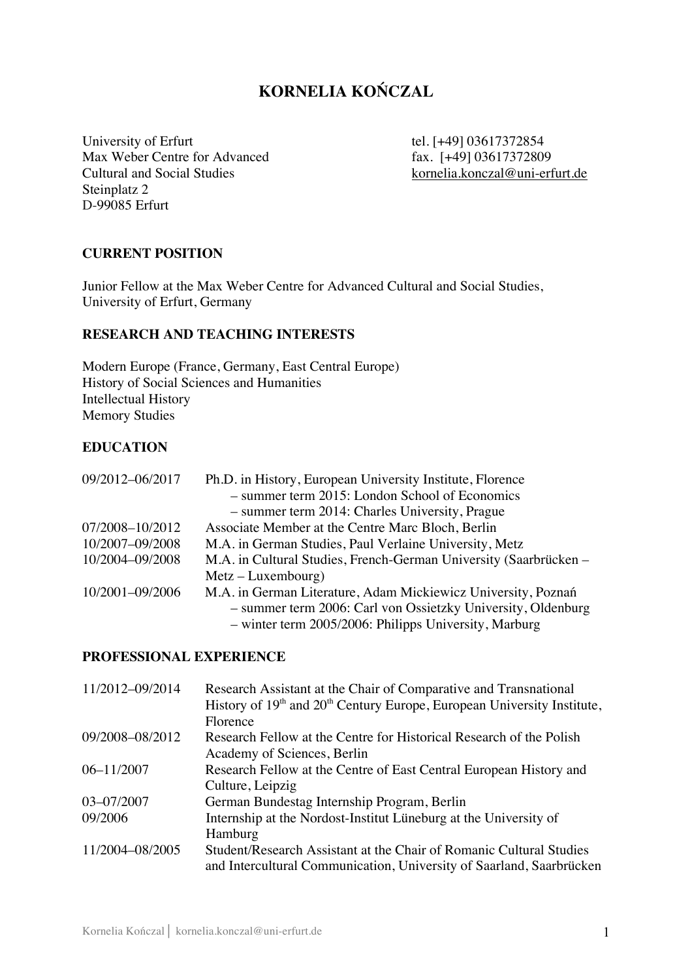# **KORNELIA KOŃCZAL**

University of Erfurt tel. [+49] 03617372854 Max Weber Centre for Advanced<br>
Cultural and Social Studies<br>
Fax. [+49] 03617372809<br>
kornelia.konczal@uni-erf Steinplatz 2 D-99085 Erfurt

kornelia.konczal@uni-erfurt.de

## **CURRENT POSITION**

Junior Fellow at the Max Weber Centre for Advanced Cultural and Social Studies, University of Erfurt, Germany

#### **RESEARCH AND TEACHING INTERESTS**

Modern Europe (France, Germany, East Central Europe) History of Social Sciences and Humanities Intellectual History Memory Studies

#### **EDUCATION**

| 09/2012-06/2017 | Ph.D. in History, European University Institute, Florence         |
|-----------------|-------------------------------------------------------------------|
|                 | - summer term 2015: London School of Economics                    |
|                 | - summer term 2014: Charles University, Prague                    |
| 07/2008-10/2012 | Associate Member at the Centre Marc Bloch, Berlin                 |
| 10/2007-09/2008 | M.A. in German Studies, Paul Verlaine University, Metz            |
| 10/2004-09/2008 | M.A. in Cultural Studies, French-German University (Saarbrücken – |
|                 | $Metz-Luxembourg)$                                                |
| 10/2001-09/2006 | M.A. in German Literature, Adam Mickiewicz University, Poznań     |
|                 | - summer term 2006: Carl von Ossietzky University, Oldenburg      |
|                 | - winter term 2005/2006: Philipps University, Marburg             |

### **PROFESSIONAL EXPERIENCE**

| 11/2012-09/2014 | Research Assistant at the Chair of Comparative and Transnational<br>History of 19 <sup>th</sup> and 20 <sup>th</sup> Century Europe, European University Institute,<br>Florence |
|-----------------|---------------------------------------------------------------------------------------------------------------------------------------------------------------------------------|
| 09/2008-08/2012 | Research Fellow at the Centre for Historical Research of the Polish<br>Academy of Sciences, Berlin                                                                              |
| $06 - 11/2007$  | Research Fellow at the Centre of East Central European History and<br>Culture, Leipzig                                                                                          |
| 03-07/2007      | German Bundestag Internship Program, Berlin                                                                                                                                     |
| 09/2006         | Internship at the Nordost-Institut Lüneburg at the University of                                                                                                                |
|                 | Hamburg                                                                                                                                                                         |
| 11/2004-08/2005 | Student/Research Assistant at the Chair of Romanic Cultural Studies<br>and Intercultural Communication, University of Saarland, Saarbrücken                                     |